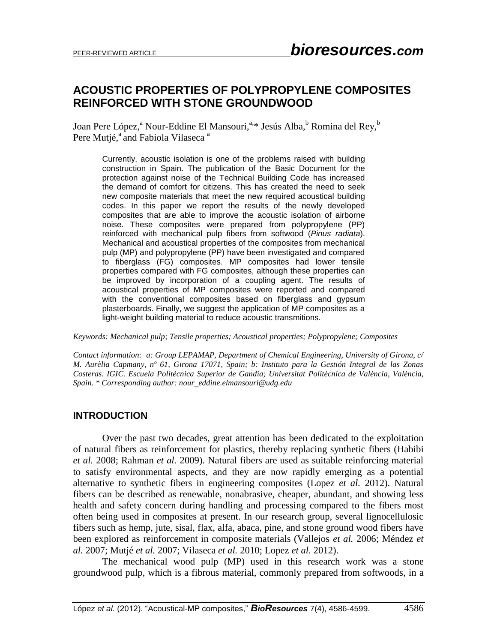# **ACOUSTIC PROPERTIES OF POLYPROPYLENE COMPOSITES REINFORCED WITH STONE GROUNDWOOD**

Joan Pere López,<sup>a</sup> Nour-Eddine El Mansouri,<sup>a,\*</sup> Jesús Alba,<sup>b</sup> Romina del Rey,<sup>b</sup> Pere Mutjé,<sup>a</sup> and Fabiola Vilaseca<sup>a</sup>

Currently, acoustic isolation is one of the problems raised with building construction in Spain. The publication of the Basic Document for the protection against noise of the Technical Building Code has increased the demand of comfort for citizens. This has created the need to seek new composite materials that meet the new required acoustical building codes. In this paper we report the results of the newly developed composites that are able to improve the acoustic isolation of airborne noise. These composites were prepared from polypropylene (PP) reinforced with mechanical pulp fibers from softwood (*Pinus radiata*). Mechanical and acoustical properties of the composites from mechanical pulp (MP) and polypropylene (PP) have been investigated and compared to fiberglass (FG) composites. MP composites had lower tensile properties compared with FG composites, although these properties can be improved by incorporation of a coupling agent. The results of acoustical properties of MP composites were reported and compared with the conventional composites based on fiberglass and gypsum plasterboards. Finally, we suggest the application of MP composites as a light-weight building material to reduce acoustic transmitions.

*Keywords: Mechanical pulp; Tensile properties; Acoustical properties; Polypropylene; Composites*

*Contact information: a: Group LEPAMAP, Department of Chemical Engineering, University of Girona, c/ M. Aurèlia Capmany, nº 61, Girona 17071, Spain; b: Instituto para la Gestión Integral de las Zonas Costeras. IGIC. Escuela Politécnica Superior de Gandía; Universitat Politècnica de València, València, Spain. \* Corresponding author: nour\_eddine.elmansouri@udg.edu*

### **INTRODUCTION**

Over the past two decades, great attention has been dedicated to the exploitation of natural fibers as reinforcement for plastics, thereby replacing synthetic fibers (Habibi *et al.* 2008; Rahman *et al.* 2009). Natural fibers are used as suitable reinforcing material to satisfy environmental aspects, and they are now rapidly emerging as a potential alternative to synthetic fibers in engineering composites (Lopez *et al.* 2012). Natural fibers can be described as renewable, nonabrasive, cheaper, abundant, and showing less health and safety concern during handling and processing compared to the fibers most often being used in composites at present. In our research group, several lignocellulosic fibers such as hemp, jute, sisal, flax, alfa, abaca, pine, and stone ground wood fibers have been explored as reinforcement in composite materials (Vallejos *et al.* 2006; Méndez *et al.* 2007; Mutjé *et al.* 2007; Vilaseca *et al.* 2010; Lopez *et al.* 2012).

The mechanical wood pulp (MP) used in this research work was a stone groundwood pulp, which is a fibrous material, commonly prepared from softwoods, in a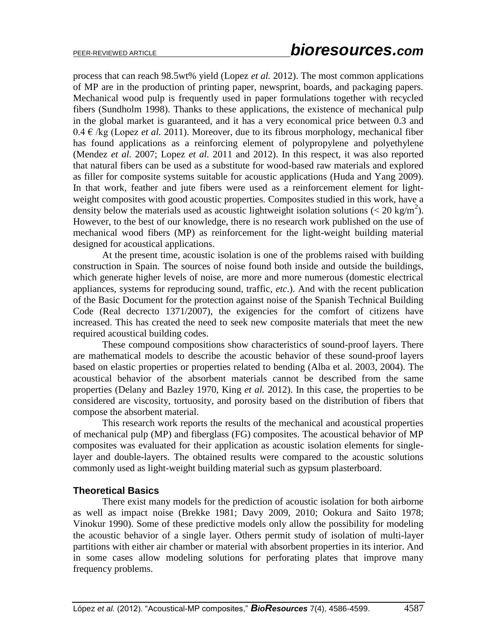process that can reach 98.5wt% yield (Lopez *et al.* 2012). The most common applications of MP are in the production of printing paper, newsprint, boards, and packaging papers. Mechanical wood pulp is frequently used in paper formulations together with recycled fibers (Sundholm 1998). Thanks to these applications, the existence of mechanical pulp in the global market is guaranteed, and it has a very economical price between 0.3 and  $0.4 \in \text{kg}$  (Lopez *et al.* 2011). Moreover, due to its fibrous morphology, mechanical fiber has found applications as a reinforcing element of polypropylene and polyethylene (Mendez *et al.* 2007; Lopez *et al.* 2011 and 2012). In this respect, it was also reported that natural fibers can be used as a substitute for wood-based raw materials and explored as filler for composite systems suitable for acoustic applications (Huda and Yang 2009). In that work, feather and jute fibers were used as a reinforcement element for lightweight composites with good acoustic properties. Composites studied in this work, have a density below the materials used as acoustic lightweight isolation solutions ( $\langle 20 \text{ kg/m}^2 \rangle$ ). However, to the best of our knowledge, there is no research work published on the use of mechanical wood fibers (MP) as reinforcement for the light-weight building material designed for acoustical applications.

At the present time, acoustic isolation is one of the problems raised with building construction in Spain. The sources of noise found both inside and outside the buildings, which generate higher levels of noise, are more and more numerous (domestic electrical appliances, systems for reproducing sound, traffic, *etc*.). And with the recent publication of the Basic Document for the protection against noise of the Spanish Technical Building Code (Real decrecto 1371/2007), the exigencies for the comfort of citizens have increased. This has created the need to seek new composite materials that meet the new required acoustical building codes.

These compound compositions show characteristics of sound-proof layers. There are mathematical models to describe the acoustic behavior of these sound-proof layers based on elastic properties or properties related to bending (Alba et al. 2003, 2004). The acoustical behavior of the absorbent materials cannot be described from the same properties (Delany and Bazley 1970, King *et al.* 2012). In this case, the properties to be considered are viscosity, tortuosity, and porosity based on the distribution of fibers that compose the absorbent material.

This research work reports the results of the mechanical and acoustical properties of mechanical pulp (MP) and fiberglass (FG) composites. The acoustical behavior of MP composites was evaluated for their application as acoustic isolation elements for singlelayer and double-layers. The obtained results were compared to the acoustic solutions commonly used as light-weight building material such as gypsum plasterboard.

### **Theoretical Basics**

There exist many models for the prediction of acoustic isolation for both airborne as well as impact noise (Brekke 1981; Davy 2009, 2010; Ookura and Saito 1978; Vinokur 1990). Some of these predictive models only allow the possibility for modeling the acoustic behavior of a single layer. Others permit study of isolation of multi-layer partitions with either air chamber or material with absorbent properties in its interior. And in some cases allow modeling solutions for perforating plates that improve many frequency problems.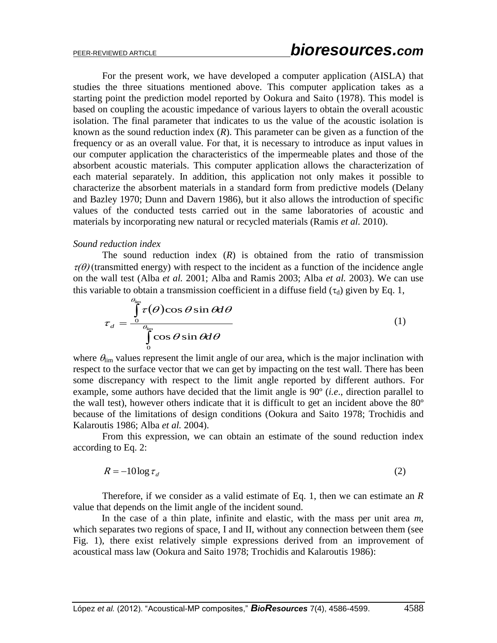For the present work, we have developed a computer application (AISLA) that studies the three situations mentioned above. This computer application takes as a starting point the prediction model reported by Ookura and Saito (1978). This model is based on coupling the acoustic impedance of various layers to obtain the overall acoustic isolation. The final parameter that indicates to us the value of the acoustic isolation is known as the sound reduction index (*R*). This parameter can be given as a function of the frequency or as an overall value. For that, it is necessary to introduce as input values in our computer application the characteristics of the impermeable plates and those of the absorbent acoustic materials. This computer application allows the characterization of each material separately. In addition, this application not only makes it possible to characterize the absorbent materials in a standard form from predictive models (Delany and Bazley 1970; Dunn and Davern 1986), but it also allows the introduction of specific values of the conducted tests carried out in the same laboratories of acoustic and materials by incorporating new natural or recycled materials (Ramis *et al.* 2010).

#### *Sound reduction index*

The sound reduction index  $(R)$  is obtained from the ratio of transmission  $\tau(\theta)$  (transmitted energy) with respect to the incident as a function of the incidence angle on the wall test (Alba *et al.* 2001; Alba and Ramis 2003; Alba *et al.* 2003). We can use this variable to obtain a transmission coefficient in a diffuse field  $(\tau_d)$  given by Eq. 1,

$$
\tau_d = \frac{\int_{\theta_{\text{lim}}^{\text{}}}}{\int_{0}^{\theta_{\text{lim}}}} \tau(\theta) \cos \theta \sin \theta d\theta
$$
\n(1)

where  $\theta_{\text{lim}}$  values represent the limit angle of our area, which is the major inclination with respect to the surface vector that we can get by impacting on the test wall. There has been some discrepancy with respect to the limit angle reported by different authors. For example, some authors have decided that the limit angle is 90º (*i.e*., direction parallel to the wall test), however others indicate that it is difficult to get an incident above the 80º because of the limitations of design conditions (Ookura and Saito 1978; Trochidis and Kalaroutis 1986; Alba *et al.* 2004).

From this expression, we can obtain an estimate of the sound reduction index according to Eq. 2:

$$
R = -10\log \tau_d \tag{2}
$$

Therefore, if we consider as a valid estimate of Eq. 1, then we can estimate an *R* value that depends on the limit angle of the incident sound.

In the case of a thin plate, infinite and elastic, with the mass per unit area *m*, which separates two regions of space, I and II, without any connection between them (see Fig. 1), there exist relatively simple expressions derived from an improvement of acoustical mass law (Ookura and Saito 1978; Trochidis and Kalaroutis 1986):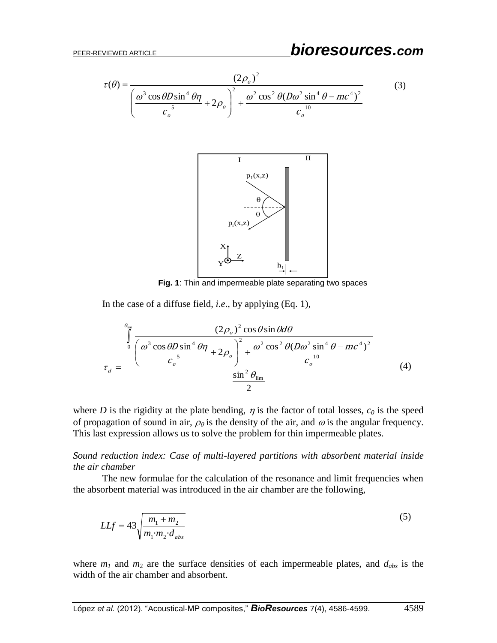$$
\tau(\theta) = \frac{(2\rho_o)^2}{\left(\frac{\omega^3 \cos \theta D \sin^4 \theta \eta}{c_o^5} + 2\rho_o\right)^2 + \frac{\omega^2 \cos^2 \theta (D\omega^2 \sin^4 \theta - mc^4)^2}{c_o^{10}}}
$$
(3)



**Fig. 1**: Thin and impermeable plate separating two spaces

In the case of a diffuse field, *i.e*., by applying (Eq. 1),

$$
\tau_d = \frac{\int_0^{\theta_{\text{lim}}}\left(\frac{(2\rho_o)^2 \cos\theta \sin\theta d\theta}{\left(\frac{\omega^3 \cos\theta D \sin^4 \theta \eta}{c_o^5} + 2\rho_o\right)^2 + \frac{\omega^2 \cos^2\theta (D\omega^2 \sin^4 \theta - mc^4)^2}{c_o^{10}}}{\sin^2\theta_{\text{lim}}}
$$
(4)

where *D* is the rigidity at the plate bending,  $\eta$  is the factor of total losses,  $c_0$  is the speed of propagation of sound in air,  $\rho_0$  is the density of the air, and  $\omega$  is the angular frequency. This last expression allows us to solve the problem for thin impermeable plates.

*Sound reduction index: Case of multi-layered partitions with absorbent material inside the air chamber*

The new formulae for the calculation of the resonance and limit frequencies when the absorbent material was introduced in the air chamber are the following,

$$
LLf = 43 \sqrt{\frac{m_1 + m_2}{m_1 \cdot m_2 \cdot d_{abs}}}
$$
(5)

where  $m<sub>1</sub>$  and  $m<sub>2</sub>$  are the surface densities of each impermeable plates, and  $d<sub>abs</sub>$  is the width of the air chamber and absorbent.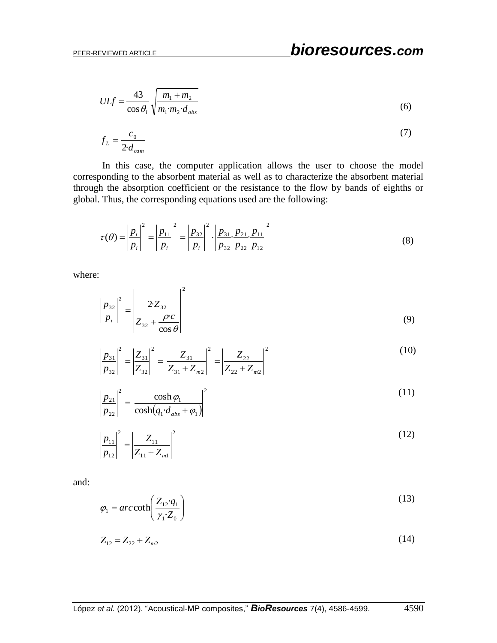$$
ULf = \frac{43}{\cos \theta_l} \sqrt{\frac{m_1 + m_2}{m_1 \cdot m_2 \cdot d_{abs}}}
$$
(6)

$$
f_L = \frac{c_0}{2 \cdot d_{cam}} \tag{7}
$$

In this case, the computer application allows the user to choose the model corresponding to the absorbent material as well as to characterize the absorbent material through the absorption coefficient or the resistance to the flow by bands of eighths or global. Thus, the corresponding equations used are the following:

$$
\tau(\theta) = \left| \frac{p_i}{p_i} \right|^2 = \left| \frac{p_{11}}{p_i} \right|^2 = \left| \frac{p_{32}}{p_i} \right|^2 \cdot \left| \frac{p_{31}}{p_{32}} \frac{p_{21}}{p_{22}} \frac{p_{11}}{p_{12}} \right|^2 \tag{8}
$$

where:

$$
\left| \frac{p_{32}}{p_i} \right|^2 = \left| \frac{2 \cdot Z_{32}}{Z_{32} + \frac{\rho \cdot c}{\cos \theta}} \right|^2 \tag{9}
$$

$$
\left|\frac{p_{31}}{p_{32}}\right|^2 = \left|\frac{Z_{31}}{Z_{32}}\right|^2 = \left|\frac{Z_{31}}{Z_{31} + Z_{m2}}\right|^2 = \left|\frac{Z_{22}}{Z_{22} + Z_{m2}}\right|^2
$$
\n(10)

$$
\left|\frac{p_{21}}{p_{22}}\right|^2 = \left|\frac{\cosh\varphi_1}{\cosh(q_1 \cdot d_{abs} + \varphi_1)}\right|^2 \tag{11}
$$

$$
\frac{p_{11}}{p_{12}}\bigg|^2 = \bigg|\frac{Z_{11}}{Z_{11} + Z_{m1}}\bigg|^2\tag{12}
$$

and:

$$
\varphi_1 = \operatorname{arccoth}\left(\frac{Z_{12} \cdot q_1}{\gamma_1 \cdot Z_0}\right) \tag{13}
$$

$$
Z_{12} = Z_{22} + Z_{m2} \tag{14}
$$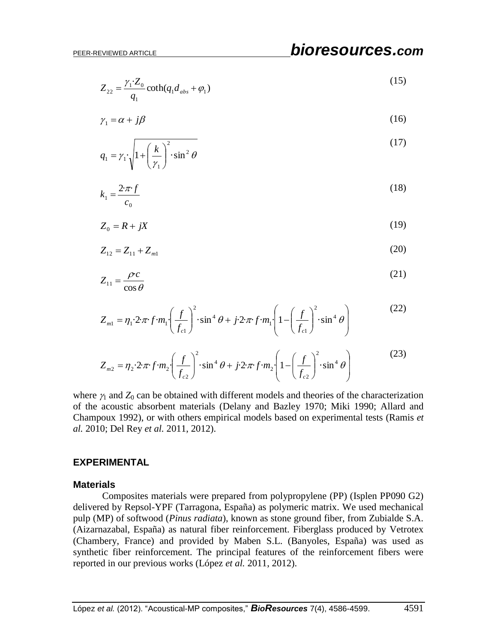·  $1^{\mathcal{U}}$ abs  $\tau \varphi_1$ 1  $\alpha_{22} = \frac{\gamma_1 \cdot Z_0}{q_1} \coth(q_1 d_{abs} + \varphi_1)$  $Z_{22} = \frac{\gamma_1 \cdot Z}{\gamma_2}$ (15)

$$
\gamma_1 = \alpha + j\beta \tag{16}
$$

$$
q_1 = \gamma_1 \cdot \sqrt{1 + \left(\frac{k}{\gamma_1}\right)^2 \cdot \sin^2 \theta} \tag{17}
$$

$$
k_1 = \frac{2 \cdot \pi \cdot f}{c_0} \tag{18}
$$

$$
Z_0 = R + jX \tag{19}
$$

$$
Z_{12} = Z_{11} + Z_{m1} \tag{20}
$$

$$
Z_{11} = \frac{\rho c}{\cos \theta} \tag{21}
$$

$$
Z_{m1} = \eta_1 \cdot 2 \cdot \pi \cdot f \cdot m_1 \left(\frac{f}{f_{c1}}\right)^2 \cdot \sin^4 \theta + j \cdot 2 \cdot \pi \cdot f \cdot m_1 \left(1 - \left(\frac{f}{f_{c1}}\right)^2 \cdot \sin^4 \theta\right)
$$
(22)

$$
Z_{m2} = \eta_2 \cdot 2 \cdot \pi \cdot f \cdot m_2 \left(\frac{f}{f_{c2}}\right)^2 \cdot \sin^4 \theta + j \cdot 2 \cdot \pi \cdot f \cdot m_2 \left(1 - \left(\frac{f}{f_{c2}}\right)^2 \cdot \sin^4 \theta\right)
$$
(23)

where  $\gamma_1$  and  $Z_0$  can be obtained with different models and theories of the characterization of the acoustic absorbent materials (Delany and Bazley 1970; Miki 1990; Allard and Champoux 1992), or with others empirical models based on experimental tests (Ramis *et al.* 2010; Del Rey *et al.* 2011, 2012).

#### **EXPERIMENTAL**

#### **Materials**

 $Z_{22} = \frac{z_1 + z_2}{q_1} \text{coth}(q_1 d_{\text{ave}} + \theta_1)$  (16)<br>  $q_1 = y_1 \sqrt{1 + \left(\frac{k}{z_1}\right)^2 \cdot \sin^2 \theta}$  (17)<br>  $q_2 = \frac{2\pi f}{c_2}$  (18)<br>  $k_1 = \frac{2\pi f}{c_2}$  (18)<br>  $Z_{42} = R + jX$  (19)<br>  $Z_{43} = Z_{11} + Z_{\text{out}}$  (20)<br>  $Z_{44} = \eta_1 2\pi f/m_1 \left(\frac{f}{f_{4$ Composites materials were prepared from polypropylene (PP) (Isplen PP090 G2) delivered by Repsol-YPF (Tarragona, España) as polymeric matrix. We used mechanical pulp (MP) of softwood (*Pinus radiata*), known as stone ground fiber, from Zubialde S.A. (Aizarnazabal, España) as natural fiber reinforcement. Fiberglass produced by Vetrotex (Chambery, France) and provided by Maben S.L. (Banyoles, España) was used as synthetic fiber reinforcement. The principal features of the reinforcement fibers were reported in our previous works (López *et al.* 2011, 2012).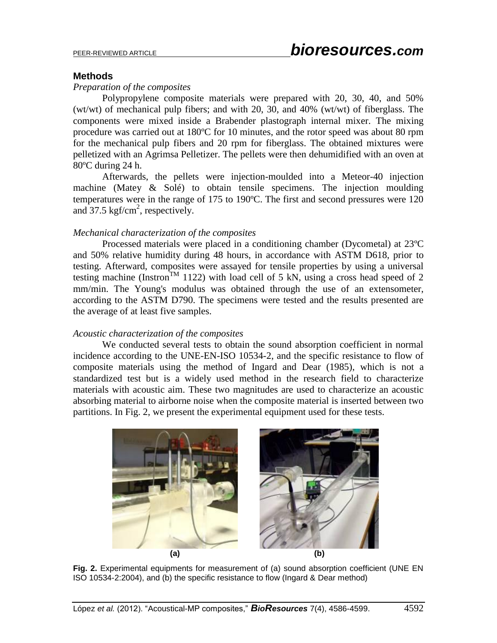#### **Methods**

#### *Preparation of the composites*

Polypropylene composite materials were prepared with 20, 30, 40, and 50% (wt/wt) of mechanical pulp fibers; and with 20, 30, and 40% (wt/wt) of fiberglass. The components were mixed inside a Brabender plastograph internal mixer. The mixing procedure was carried out at 180ºC for 10 minutes, and the rotor speed was about 80 rpm for the mechanical pulp fibers and 20 rpm for fiberglass. The obtained mixtures were pelletized with an Agrimsa Pelletizer. The pellets were then dehumidified with an oven at 80ºC during 24 h.

Afterwards, the pellets were injection-moulded into a Meteor-40 injection machine (Matey & Solé) to obtain tensile specimens. The injection moulding temperatures were in the range of 175 to 190ºC. The first and second pressures were 120 and 37.5 kgf/cm<sup>2</sup>, respectively.

#### *Mechanical characterization of the composites*

Processed materials were placed in a conditioning chamber (Dycometal) at 23ºC and 50% relative humidity during 48 hours, in accordance with ASTM D618, prior to testing. Afterward, composites were assayed for tensile properties by using a universal testing machine (Instron<sup>TM</sup> 1122) with load cell of 5 kN, using a cross head speed of 2 mm/min. The Young's modulus was obtained through the use of an extensometer, according to the ASTM D790. The specimens were tested and the results presented are the average of at least five samples.

#### *Acoustic characterization of the composites*

We conducted several tests to obtain the sound absorption coefficient in normal incidence according to the UNE-EN-ISO 10534-2, and the specific resistance to flow of composite materials using the method of Ingard and Dear (1985), which is not a standardized test but is a widely used method in the research field to characterize materials with acoustic aim. These two magnitudes are used to characterize an acoustic absorbing material to airborne noise when the composite material is inserted between two partitions. In Fig. 2, we present the experimental equipment used for these tests.



**Fig. 2.** Experimental equipments for measurement of (a) sound absorption coefficient (UNE EN ISO 10534-2:2004), and (b) the specific resistance to flow (Ingard & Dear method)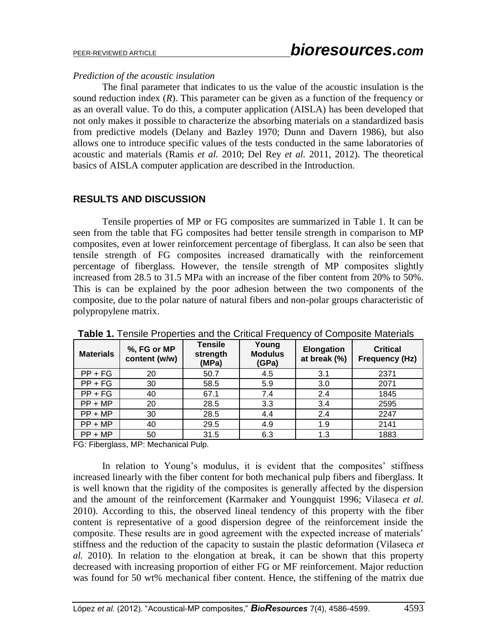### *Prediction of the acoustic insulation*

The final parameter that indicates to us the value of the acoustic insulation is the sound reduction index  $(R)$ . This parameter can be given as a function of the frequency or as an overall value. To do this, a computer application (AISLA) has been developed that not only makes it possible to characterize the absorbing materials on a standardized basis from predictive models (Delany and Bazley 1970; Dunn and Davern 1986), but also allows one to introduce specific values of the tests conducted in the same laboratories of acoustic and materials (Ramis *et al.* 2010; Del Rey *et al.* 2011, 2012). The theoretical basics of AISLA computer application are described in the Introduction.

## **RESULTS AND DISCUSSION**

Tensile properties of MP or FG composites are summarized in Table 1. It can be seen from the table that FG composites had better tensile strength in comparison to MP composites, even at lower reinforcement percentage of fiberglass. It can also be seen that tensile strength of FG composites increased dramatically with the reinforcement percentage of fiberglass. However, the tensile strength of MP composites slightly increased from 28.5 to 31.5 MPa with an increase of the fiber content from 20% to 50%. This is can be explained by the poor adhesion between the two components of the composite, due to the polar nature of natural fibers and non-polar groups characteristic of polypropylene matrix.

| <b>TWIS</b> T. FORGING EXPORTED WITH THE UNION EXPOSITOR OF OUTINGSING IMMIGHANG |                              |                                     |                                  |                                   |                                          |
|----------------------------------------------------------------------------------|------------------------------|-------------------------------------|----------------------------------|-----------------------------------|------------------------------------------|
| <b>Materials</b>                                                                 | %, FG or MP<br>content (w/w) | <b>Tensile</b><br>strength<br>(MPa) | Young<br><b>Modulus</b><br>(GPa) | <b>Elongation</b><br>at break (%) | <b>Critical</b><br><b>Frequency (Hz)</b> |
| $PP + FG$                                                                        | 20                           | 50.7                                | 4.5                              | 3.1                               | 2371                                     |
| $PP + FG$                                                                        | 30                           | 58.5                                | 5.9                              | 3.0                               | 2071                                     |
| $PP + FG$                                                                        | 40                           | 67.1                                | 7.4                              | 2.4                               | 1845                                     |
| $PP + MP$                                                                        | 20                           | 28.5                                | 3.3                              | 3.4                               | 2595                                     |
| $PP + MP$                                                                        | 30                           | 28.5                                | 4.4                              | 2.4                               | 2247                                     |
| $PP + MP$                                                                        | 40                           | 29.5                                | 4.9                              | 1.9                               | 2141                                     |
| $PP + MP$                                                                        | 50                           | 31.5                                | 6.3                              | 1.3                               | 1883                                     |

**Table 1.** Tensile Properties and the Critical Frequency of Composite Materials

FG: Fiberglass, MP: Mechanical Pulp.

In relation to Young's modulus, it is evident that the composites' stiffness increased linearly with the fiber content for both mechanical pulp fibers and fiberglass. It is well known that the rigidity of the composites is generally affected by the dispersion and the amount of the reinforcement (Karmaker and Youngquist 1996; Vilaseca *et al.* 2010). According to this, the observed lineal tendency of this property with the fiber content is representative of a good dispersion degree of the reinforcement inside the composite. These results are in good agreement with the expected increase of materials' stiffness and the reduction of the capacity to sustain the plastic deformation (Vilaseca *et al.* 2010). In relation to the elongation at break, it can be shown that this property decreased with increasing proportion of either FG or MF reinforcement. Major reduction was found for 50 wt% mechanical fiber content. Hence, the stiffening of the matrix due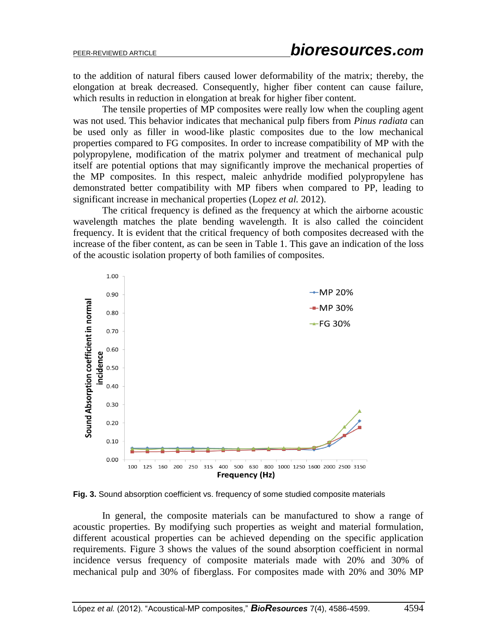to the addition of natural fibers caused lower deformability of the matrix; thereby, the elongation at break decreased. Consequently, higher fiber content can cause failure, which results in reduction in elongation at break for higher fiber content.

The tensile properties of MP composites were really low when the coupling agent was not used. This behavior indicates that mechanical pulp fibers from *Pinus radiata* can be used only as filler in wood-like plastic composites due to the low mechanical properties compared to FG composites. In order to increase compatibility of MP with the polypropylene, modification of the matrix polymer and treatment of mechanical pulp itself are potential options that may significantly improve the mechanical properties of the MP composites. In this respect, maleic anhydride modified polypropylene has demonstrated better compatibility with MP fibers when compared to PP, leading to significant increase in mechanical properties (Lopez *et al.* 2012).

The critical frequency is defined as the frequency at which the airborne acoustic wavelength matches the plate bending wavelength. It is also called the coincident frequency. It is evident that the critical frequency of both composites decreased with the increase of the fiber content, as can be seen in Table 1. This gave an indication of the loss of the acoustic isolation property of both families of composites.



**Fig. 3.** Sound absorption coefficient vs. frequency of some studied composite materials

In general, the composite materials can be manufactured to show a range of acoustic properties. By modifying such properties as weight and material formulation, different acoustical properties can be achieved depending on the specific application requirements. Figure 3 shows the values of the sound absorption coefficient in normal incidence versus frequency of composite materials made with 20% and 30% of mechanical pulp and 30% of fiberglass. For composites made with 20% and 30% MP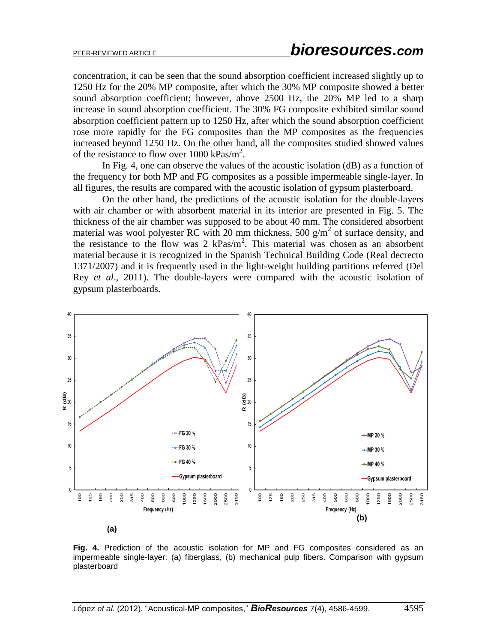concentration, it can be seen that the sound absorption coefficient increased slightly up to 1250 Hz for the 20% MP composite, after which the 30% MP composite showed a better sound absorption coefficient; however, above 2500 Hz, the 20% MP led to a sharp increase in sound absorption coefficient. The 30% FG composite exhibited similar sound absorption coefficient pattern up to 1250 Hz, after which the sound absorption coefficient rose more rapidly for the FG composites than the MP composites as the frequencies increased beyond 1250 Hz. On the other hand, all the composites studied showed values of the resistance to flow over 1000 kPas/m<sup>2</sup>.

In Fig. 4, one can observe the values of the acoustic isolation (dB) as a function of the frequency for both MP and FG composites as a possible impermeable single-layer. In all figures, the results are compared with the acoustic isolation of gypsum plasterboard.

On the other hand, the predictions of the acoustic isolation for the double-layers with air chamber or with absorbent material in its interior are presented in Fig. 5. The thickness of the air chamber was supposed to be about 40 mm. The considered absorbent material was wool polyester RC with 20 mm thickness, 500  $g/m^2$  of surface density, and the resistance to the flow was 2  $kPas/m<sup>2</sup>$ . This material was chosen as an absorbent material because it is recognized in the Spanish Technical Building Code (Real decrecto 1371/2007) and it is frequently used in the light-weight building partitions referred (Del Rey *et al*., 2011). The double-layers were compared with the acoustic isolation of gypsum plasterboards.



**Fig. 4.** Prediction of the acoustic isolation for MP and FG composites considered as an impermeable single-layer: (a) fiberglass, (b) mechanical pulp fibers. Comparison with gypsum plasterboard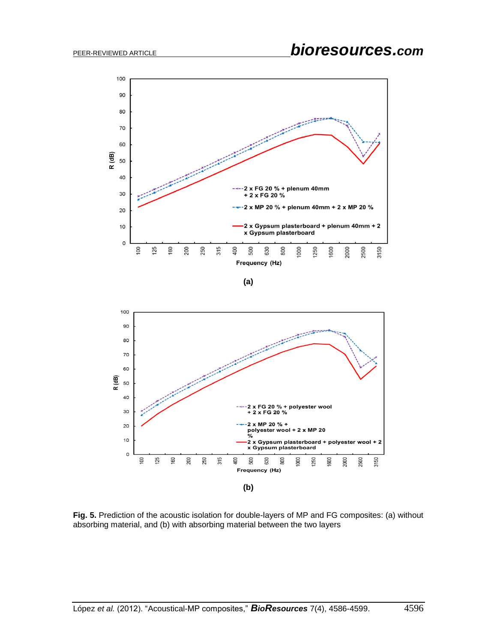

**(a)**



**Fig. 5.** Prediction of the acoustic isolation for double-layers of MP and FG composites: (a) without absorbing material, and (b) with absorbing material between the two layers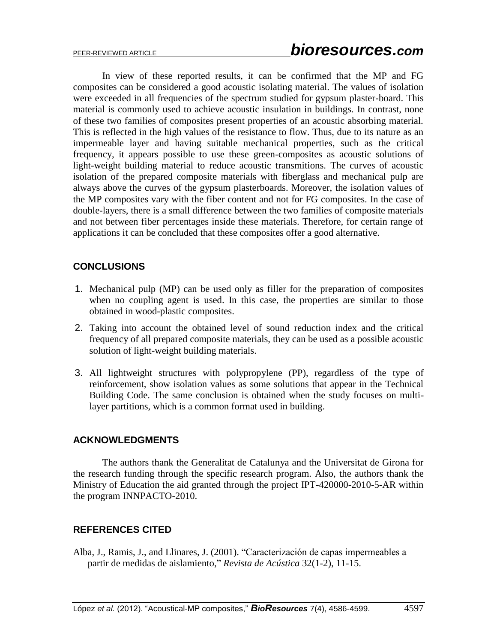In view of these reported results, it can be confirmed that the MP and FG composites can be considered a good acoustic isolating material. The values of isolation were exceeded in all frequencies of the spectrum studied for gypsum plaster-board. This material is commonly used to achieve acoustic insulation in buildings. In contrast, none of these two families of composites present properties of an acoustic absorbing material. This is reflected in the high values of the resistance to flow. Thus, due to its nature as an impermeable layer and having suitable mechanical properties, such as the critical frequency, it appears possible to use these green-composites as acoustic solutions of light-weight building material to reduce acoustic transmitions. The curves of acoustic isolation of the prepared composite materials with fiberglass and mechanical pulp are always above the curves of the gypsum plasterboards. Moreover, the isolation values of the MP composites vary with the fiber content and not for FG composites. In the case of double-layers, there is a small difference between the two families of composite materials and not between fiber percentages inside these materials. Therefore, for certain range of applications it can be concluded that these composites offer a good alternative.

## **CONCLUSIONS**

- 1. Mechanical pulp (MP) can be used only as filler for the preparation of composites when no coupling agent is used. In this case, the properties are similar to those obtained in wood-plastic composites.
- 2. Taking into account the obtained level of sound reduction index and the critical frequency of all prepared composite materials, they can be used as a possible acoustic solution of light-weight building materials.
- 3. All lightweight structures with polypropylene (PP), regardless of the type of reinforcement, show isolation values as some solutions that appear in the Technical Building Code. The same conclusion is obtained when the study focuses on multilayer partitions, which is a common format used in building.

## **ACKNOWLEDGMENTS**

The authors thank the Generalitat de Catalunya and the Universitat de Girona for the research funding through the specific research program. Also, the authors thank the Ministry of Education the aid granted through the project IPT-420000-2010-5-AR within the program INNPACTO-2010.

### **REFERENCES CITED**

Alba, J., Ramis, J., and Llinares, J. (2001). "Caracterización de capas impermeables a partir de medidas de aislamiento," *Revista de Acústica* 32(1-2), 11-15.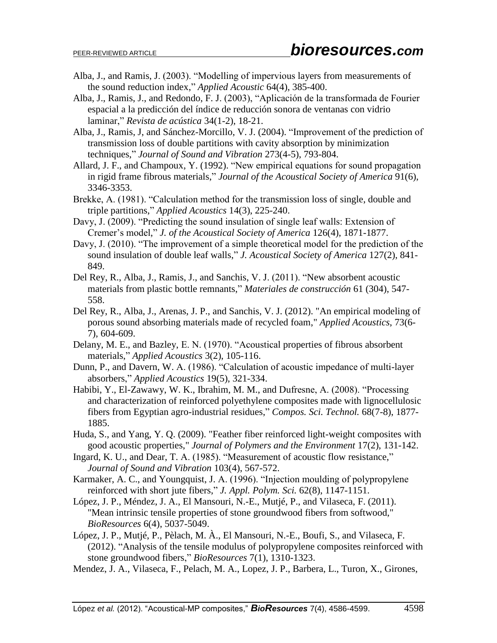- Alba, J., and Ramis, J. (2003). "Modelling of impervious layers from measurements of the sound reduction index," *Applied Acoustic* 64(4), 385-400.
- Alba, J., Ramis, J., and Redondo, F. J. (2003), "Aplicación de la transformada de Fourier espacial a la predicción del índice de reducción sonora de ventanas con vidrio laminar," *Revista de acústica* 34(1-2), 18-21.
- Alba, J., Ramis, J, and Sánchez-Morcillo, V. J. (2004). "Improvement of the prediction of transmission loss of double partitions with cavity absorption by minimization techniques," *Journal of Sound and Vibration* 273(4-5), 793-804.
- Allard, J. F., and Champoux, Y. (1992). "New empirical equations for sound propagation in rigid frame fibrous materials," *Journal of the Acoustical Society of America* 91(6), 3346-3353.
- Brekke, A. (1981). "Calculation method for the transmission loss of single, double and triple partitions," *Applied Acoustics* 14(3), 225-240.
- Davy, J. (2009). "Predicting the sound insulation of single leaf walls: Extension of Cremer's model," *J. of the Acoustical Society of America* 126(4), 1871-1877.
- Davy, J. (2010). "The improvement of a simple theoretical model for the prediction of the sound insulation of double leaf walls," *J. Acoustical Society of America* 127(2), 841- 849.
- Del Rey, R., Alba, J., Ramis, J., and Sanchis, V. J. (2011). "New absorbent acoustic materials from plastic bottle remnants," *Materiales de construcción* 61 (304), 547- 558.
- Del Rey, R., Alba, J., Arenas, J. P., and Sanchis, V. J. (2012). "An empirical modeling of porous sound absorbing materials made of recycled foam," *Applied Acoustics*, 73(6- 7), 604-609.
- Delany, M. E., and Bazley, E. N. (1970). "Acoustical properties of fibrous absorbent materials," *Applied Acoustics* 3(2), 105-116.
- Dunn, P., and Davern, W. A. (1986). "Calculation of acoustic impedance of multi-layer absorbers," *Applied Acoustics* 19(5), 321-334.
- Habibi, Y., El-Zawawy, W. K., Ibrahim, M. M., and Dufresne, A. (2008). "Processing and characterization of reinforced polyethylene composites made with lignocellulosic fibers from Egyptian agro-industrial residues," *Compos. Sci. Technol.* 68(7-8), 1877- 1885.
- Huda, S., and Yang, Y. Q. (2009). "Feather fiber reinforced light-weight composites with good acoustic properties," *Journal of Polymers and the Environment* 17(2), 131-142.
- Ingard, K. U., and Dear, T. A. (1985). "Measurement of acoustic flow resistance," *Journal of Sound and Vibration* 103(4), 567-572.
- Karmaker, A. C., and Youngquist, J. A. (1996). "Injection moulding of polypropylene reinforced with short jute fibers," *J. Appl. Polym. Sci.* 62(8), 1147-1151.
- López, J. P., Méndez, J. A., El Mansouri, N.-E., Mutjé, P., and Vilaseca, F. (2011). "Mean intrinsic tensile properties of stone groundwood fibers from softwood," *BioResources* 6(4), 5037-5049.
- López, J. P., Mutjé, P., Pèlach, M. À., El Mansouri, N.-E., Boufi, S., and Vilaseca, F. (2012). "Analysis of the tensile modulus of polypropylene composites reinforced with stone groundwood fibers," *BioResources* 7(1), 1310-1323.
- Mendez, J. A., Vilaseca, F., Pelach, M. A., Lopez, J. P., Barbera, L., Turon, X., Girones,